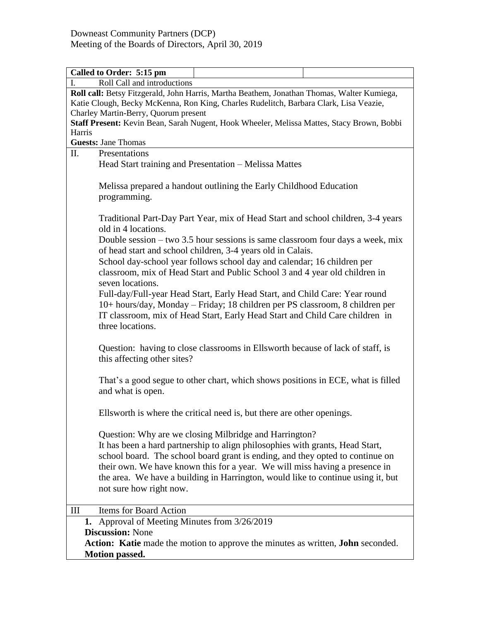| Called to Order: 5:15 pm                                                                   |  |  |  |
|--------------------------------------------------------------------------------------------|--|--|--|
| Roll Call and introductions<br>I.                                                          |  |  |  |
| Roll call: Betsy Fitzgerald, John Harris, Martha Beathem, Jonathan Thomas, Walter Kumiega, |  |  |  |
| Katie Clough, Becky McKenna, Ron King, Charles Rudelitch, Barbara Clark, Lisa Veazie,      |  |  |  |
| Charley Martin-Berry, Quorum present                                                       |  |  |  |
| Staff Present: Kevin Bean, Sarah Nugent, Hook Wheeler, Melissa Mattes, Stacy Brown, Bobbi  |  |  |  |
| Harris                                                                                     |  |  |  |
| <b>Guests: Jane Thomas</b>                                                                 |  |  |  |
| II.<br>Presentations                                                                       |  |  |  |
| Head Start training and Presentation – Melissa Mattes                                      |  |  |  |
|                                                                                            |  |  |  |
| Melissa prepared a handout outlining the Early Childhood Education                         |  |  |  |
| programming.                                                                               |  |  |  |
|                                                                                            |  |  |  |
| Traditional Part-Day Part Year, mix of Head Start and school children, 3-4 years           |  |  |  |
| old in 4 locations.                                                                        |  |  |  |
| Double session – two 3.5 hour sessions is same classroom four days a week, mix             |  |  |  |
| of head start and school children, 3-4 years old in Calais.                                |  |  |  |
|                                                                                            |  |  |  |
| School day-school year follows school day and calendar; 16 children per                    |  |  |  |
| classroom, mix of Head Start and Public School 3 and 4 year old children in                |  |  |  |
| seven locations.                                                                           |  |  |  |
| Full-day/Full-year Head Start, Early Head Start, and Child Care: Year round                |  |  |  |
| 10+ hours/day, Monday - Friday; 18 children per PS classroom, 8 children per               |  |  |  |
| IT classroom, mix of Head Start, Early Head Start and Child Care children in               |  |  |  |
| three locations.                                                                           |  |  |  |
|                                                                                            |  |  |  |
| Question: having to close classrooms in Ellsworth because of lack of staff, is             |  |  |  |
| this affecting other sites?                                                                |  |  |  |
|                                                                                            |  |  |  |
| That's a good segue to other chart, which shows positions in ECE, what is filled           |  |  |  |
| and what is open.                                                                          |  |  |  |
|                                                                                            |  |  |  |
| Ellsworth is where the critical need is, but there are other openings.                     |  |  |  |
|                                                                                            |  |  |  |
|                                                                                            |  |  |  |
| Question: Why are we closing Milbridge and Harrington?                                     |  |  |  |
| It has been a hard partnership to align philosophies with grants, Head Start,              |  |  |  |
| school board. The school board grant is ending, and they opted to continue on              |  |  |  |
| their own. We have known this for a year. We will miss having a presence in                |  |  |  |
| the area. We have a building in Harrington, would like to continue using it, but           |  |  |  |
| not sure how right now.                                                                    |  |  |  |
|                                                                                            |  |  |  |
| Items for Board Action<br>Ш                                                                |  |  |  |
| 1. Approval of Meeting Minutes from 3/26/2019                                              |  |  |  |
| <b>Discussion: None</b>                                                                    |  |  |  |
| Action: Katie made the motion to approve the minutes as written, John seconded.            |  |  |  |
| <b>Motion passed.</b>                                                                      |  |  |  |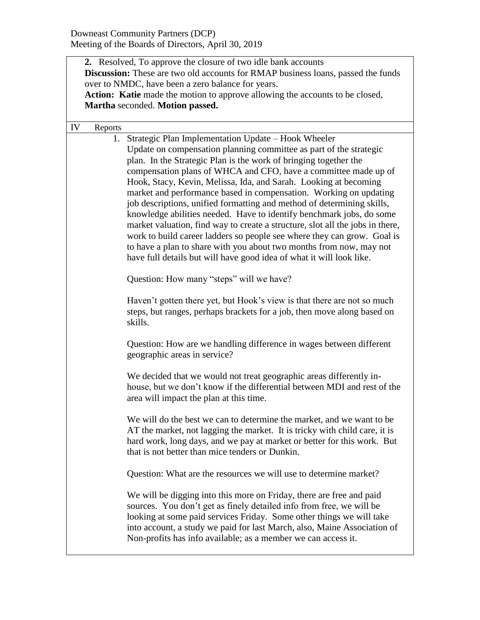|    |         | 2. Resolved, To approve the closure of two idle bank accounts<br>Discussion: These are two old accounts for RMAP business loans, passed the funds<br>over to NMDC, have been a zero balance for years.<br>Action: Katie made the motion to approve allowing the accounts to be closed,<br>Martha seconded. Motion passed.                                                                                                                                                                                                                                                                                                                                                                                                                                                                                                                                              |
|----|---------|------------------------------------------------------------------------------------------------------------------------------------------------------------------------------------------------------------------------------------------------------------------------------------------------------------------------------------------------------------------------------------------------------------------------------------------------------------------------------------------------------------------------------------------------------------------------------------------------------------------------------------------------------------------------------------------------------------------------------------------------------------------------------------------------------------------------------------------------------------------------|
| IV | Reports |                                                                                                                                                                                                                                                                                                                                                                                                                                                                                                                                                                                                                                                                                                                                                                                                                                                                        |
|    | 1.      | Strategic Plan Implementation Update – Hook Wheeler<br>Update on compensation planning committee as part of the strategic<br>plan. In the Strategic Plan is the work of bringing together the<br>compensation plans of WHCA and CFO, have a committee made up of<br>Hook, Stacy, Kevin, Melissa, Ida, and Sarah. Looking at becoming<br>market and performance based in compensation. Working on updating<br>job descriptions, unified formatting and method of determining skills,<br>knowledge abilities needed. Have to identify benchmark jobs, do some<br>market valuation, find way to create a structure, slot all the jobs in there,<br>work to build career ladders so people see where they can grow. Goal is<br>to have a plan to share with you about two months from now, may not<br>have full details but will have good idea of what it will look like. |
|    |         | Question: How many "steps" will we have?                                                                                                                                                                                                                                                                                                                                                                                                                                                                                                                                                                                                                                                                                                                                                                                                                               |
|    |         | Haven't gotten there yet, but Hook's view is that there are not so much<br>steps, but ranges, perhaps brackets for a job, then move along based on<br>skills.                                                                                                                                                                                                                                                                                                                                                                                                                                                                                                                                                                                                                                                                                                          |
|    |         | Question: How are we handling difference in wages between different<br>geographic areas in service?                                                                                                                                                                                                                                                                                                                                                                                                                                                                                                                                                                                                                                                                                                                                                                    |
|    |         | We decided that we would not treat geographic areas differently in-<br>house, but we don't know if the differential between MDI and rest of the<br>area will impact the plan at this time.                                                                                                                                                                                                                                                                                                                                                                                                                                                                                                                                                                                                                                                                             |
|    |         | We will do the best we can to determine the market, and we want to be<br>AT the market, not lagging the market. It is tricky with child care, it is<br>hard work, long days, and we pay at market or better for this work. But<br>that is not better than mice tenders or Dunkin.                                                                                                                                                                                                                                                                                                                                                                                                                                                                                                                                                                                      |
|    |         | Question: What are the resources we will use to determine market?                                                                                                                                                                                                                                                                                                                                                                                                                                                                                                                                                                                                                                                                                                                                                                                                      |
|    |         | We will be digging into this more on Friday, there are free and paid<br>sources. You don't get as finely detailed info from free, we will be<br>looking at some paid services Friday. Some other things we will take<br>into account, a study we paid for last March, also, Maine Association of<br>Non-profits has info available; as a member we can access it.                                                                                                                                                                                                                                                                                                                                                                                                                                                                                                      |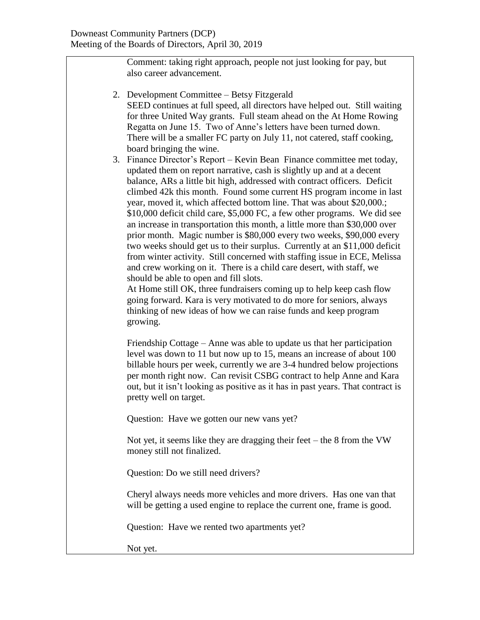Comment: taking right approach, people not just looking for pay, but also career advancement.

- 2. Development Committee Betsy Fitzgerald SEED continues at full speed, all directors have helped out. Still waiting for three United Way grants. Full steam ahead on the At Home Rowing Regatta on June 15. Two of Anne's letters have been turned down. There will be a smaller FC party on July 11, not catered, staff cooking, board bringing the wine.
- 3. Finance Director's Report Kevin Bean Finance committee met today, updated them on report narrative, cash is slightly up and at a decent balance, ARs a little bit high, addressed with contract officers. Deficit climbed 42k this month. Found some current HS program income in last year, moved it, which affected bottom line. That was about \$20,000.; \$10,000 deficit child care, \$5,000 FC, a few other programs. We did see an increase in transportation this month, a little more than \$30,000 over prior month. Magic number is \$80,000 every two weeks, \$90,000 every two weeks should get us to their surplus. Currently at an \$11,000 deficit from winter activity. Still concerned with staffing issue in ECE, Melissa and crew working on it. There is a child care desert, with staff, we should be able to open and fill slots.

At Home still OK, three fundraisers coming up to help keep cash flow going forward. Kara is very motivated to do more for seniors, always thinking of new ideas of how we can raise funds and keep program growing.

Friendship Cottage – Anne was able to update us that her participation level was down to 11 but now up to 15, means an increase of about 100 billable hours per week, currently we are 3-4 hundred below projections per month right now. Can revisit CSBG contract to help Anne and Kara out, but it isn't looking as positive as it has in past years. That contract is pretty well on target.

Question: Have we gotten our new vans yet?

Not yet, it seems like they are dragging their feet – the 8 from the VW money still not finalized.

Question: Do we still need drivers?

Cheryl always needs more vehicles and more drivers. Has one van that will be getting a used engine to replace the current one, frame is good.

Question: Have we rented two apartments yet?

Not yet.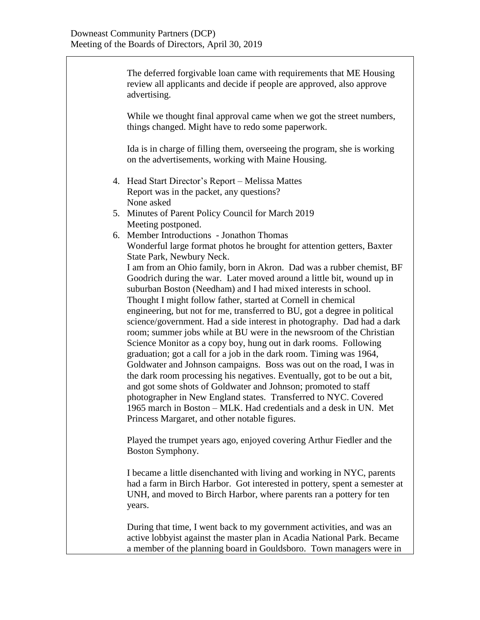The deferred forgivable loan came with requirements that ME Housing review all applicants and decide if people are approved, also approve advertising. While we thought final approval came when we got the street numbers, things changed. Might have to redo some paperwork. Ida is in charge of filling them, overseeing the program, she is working on the advertisements, working with Maine Housing. 4. Head Start Director's Report – Melissa Mattes Report was in the packet, any questions? None asked 5. Minutes of Parent Policy Council for March 2019 Meeting postponed. 6. Member Introductions - Jonathon Thomas Wonderful large format photos he brought for attention getters, Baxter State Park, Newbury Neck. I am from an Ohio family, born in Akron. Dad was a rubber chemist, BF Goodrich during the war. Later moved around a little bit, wound up in suburban Boston (Needham) and I had mixed interests in school. Thought I might follow father, started at Cornell in chemical engineering, but not for me, transferred to BU, got a degree in political science/government. Had a side interest in photography. Dad had a dark room; summer jobs while at BU were in the newsroom of the Christian Science Monitor as a copy boy, hung out in dark rooms. Following graduation; got a call for a job in the dark room. Timing was 1964, Goldwater and Johnson campaigns. Boss was out on the road, I was in the dark room processing his negatives. Eventually, got to be out a bit, and got some shots of Goldwater and Johnson; promoted to staff photographer in New England states. Transferred to NYC. Covered 1965 march in Boston – MLK. Had credentials and a desk in UN. Met Princess Margaret, and other notable figures. Played the trumpet years ago, enjoyed covering Arthur Fiedler and the Boston Symphony. I became a little disenchanted with living and working in NYC, parents had a farm in Birch Harbor. Got interested in pottery, spent a semester at UNH, and moved to Birch Harbor, where parents ran a pottery for ten years. During that time, I went back to my government activities, and was an

active lobbyist against the master plan in Acadia National Park. Became a member of the planning board in Gouldsboro. Town managers were in